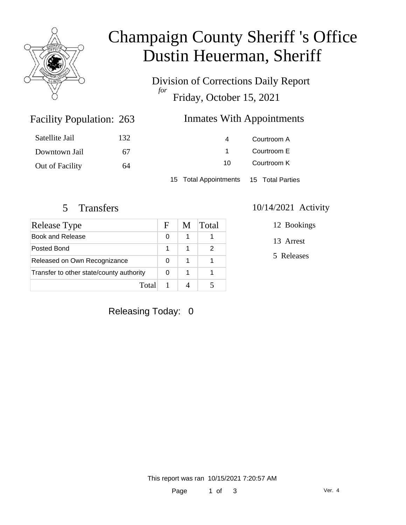

# Champaign County Sheriff 's Office Dustin Heuerman, Sheriff

Division of Corrections Daily Report *for* Friday, October 15, 2021

### Inmates With Appointments

| Satellite Jail  | 132 | 4                                      | Courtroom A |  |
|-----------------|-----|----------------------------------------|-------------|--|
| Downtown Jail   | 67  |                                        | Courtroom E |  |
| Out of Facility | 64  | 10.                                    | Courtroom K |  |
|                 |     | 15 Total Appointments 15 Total Parties |             |  |

Facility Population: 263

| <b>Release Type</b>                      | н | M | Total |
|------------------------------------------|---|---|-------|
| Book and Release                         | 0 |   |       |
| Posted Bond                              |   |   | 2     |
| Released on Own Recognizance             | 0 |   |       |
| Transfer to other state/county authority |   |   |       |
| Total                                    |   |   |       |

#### 5 Transfers 10/14/2021 Activity

12 Bookings

13 Arrest

5 Releases

Releasing Today: 0

This report was ran 10/15/2021 7:20:57 AM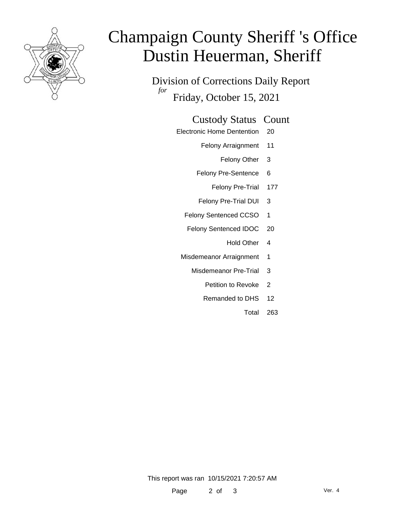

# Champaign County Sheriff 's Office Dustin Heuerman, Sheriff

Division of Corrections Daily Report *for* Friday, October 15, 2021

#### Custody Status Count

- Electronic Home Dentention 20
	- Felony Arraignment 11
		- Felony Other 3
	- Felony Pre-Sentence 6
		- Felony Pre-Trial 177
	- Felony Pre-Trial DUI 3
	- Felony Sentenced CCSO 1
	- Felony Sentenced IDOC 20
		- Hold Other 4
	- Misdemeanor Arraignment 1
		- Misdemeanor Pre-Trial 3
			- Petition to Revoke 2
			- Remanded to DHS 12
				- Total 263

This report was ran 10/15/2021 7:20:57 AM